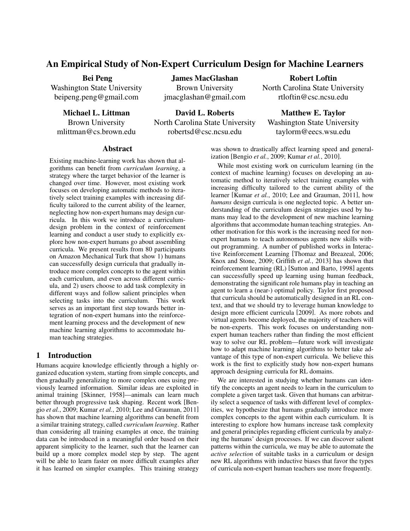# An Empirical Study of Non-Expert Curriculum Design for Machine Learners

## Bei Peng

Washington State University beipeng.peng@gmail.com

Michael L. Littman Brown University mlittman@cs.brown.edu James MacGlashan

Brown University jmacglashan@gmail.com

## Robert Loftin

North Carolina State University rtloftin@csc.ncsu.edu

David L. Roberts North Carolina State University robertsd@csc.ncsu.edu

Matthew E. Taylor Washington State University taylorm@eecs.wsu.edu

#### Abstract

Existing machine-learning work has shown that algorithms can benefit from *curriculum learning*, a strategy where the target behavior of the learner is changed over time. However, most existing work focuses on developing automatic methods to iteratively select training examples with increasing difficulty tailored to the current ability of the learner, neglecting how non-expert humans may design curricula. In this work we introduce a curriculumdesign problem in the context of reinforcement learning and conduct a user study to explicitly explore how non-expert humans go about assembling curricula. We present results from 80 participants on Amazon Mechanical Turk that show 1) humans can successfully design curricula that gradually introduce more complex concepts to the agent within each curriculum, and even across different curricula, and 2) users choose to add task complexity in different ways and follow salient principles when selecting tasks into the curriculum. This work serves as an important first step towards better integration of non-expert humans into the reinforcement learning process and the development of new machine learning algorithms to accommodate human teaching strategies.

# 1 Introduction

Humans acquire knowledge efficiently through a highly organized education system, starting from simple concepts, and then gradually generalizing to more complex ones using previously learned information. Similar ideas are exploited in animal training [Skinner, 1958]—animals can learn much better through progressive task shaping. Recent work [Bengio *et al.*, 2009; Kumar *et al.*, 2010; Lee and Grauman, 2011] has shown that machine learning algorithms can benefit from a similar training strategy, called *curriculum learning*. Rather than considering all training examples at once, the training data can be introduced in a meaningful order based on their apparent simplicity to the learner, such that the learner can build up a more complex model step by step. The agent will be able to learn faster on more difficult examples after it has learned on simpler examples. This training strategy

was shown to drastically affect learning speed and generalization [Bengio *et al.*, 2009; Kumar *et al.*, 2010].

While most existing work on curriculum learning (in the context of machine learning) focuses on developing an automatic method to iteratively select training examples with increasing difficulty tailored to the current ability of the learner [Kumar *et al.*, 2010; Lee and Grauman, 2011], how *humans* design curricula is one neglected topic. A better understanding of the curriculum design strategies used by humans may lead to the development of new machine learning algorithms that accommodate human teaching strategies. Another motivation for this work is the increasing need for nonexpert humans to teach autonomous agents new skills without programming. A number of published works in Interactive Reinforcement Learning [Thomaz and Breazeal, 2006; Knox and Stone, 2009; Griffith *et al.*, 2013] has shown that reinforcement learning (RL) [Sutton and Barto, 1998] agents can successfully speed up learning using human feedback, demonstrating the significant role humans play in teaching an agent to learn a (near-) optimal policy. Taylor first proposed that curricula should be automatically designed in an RL context, and that we should try to leverage human knowledge to design more efficient curricula [2009]. As more robots and virtual agents become deployed, the majority of teachers will be non-experts. This work focuses on understanding nonexpert human teachers rather than finding the most efficient way to solve our RL problem—future work will investigate how to adapt machine learning algorithms to better take advantage of this type of non-expert curricula. We believe this work is the first to explicitly study how non-expert humans approach designing curricula for RL domains.

We are interested in studying whether humans can identify the concepts an agent needs to learn in the curriculum to complete a given target task. Given that humans can arbitrarily select a sequence of tasks with different level of complexities, we hypothesize that humans gradually introduce more complex concepts to the agent within each curriculum. It is interesting to explore how humans increase task complexity and general principles regarding efficient curricula by analyzing the humans' design processes. If we can discover salient patterns within the curricula, we may be able to automate the *active selection* of suitable tasks in a curriculum or design new RL algorithms with inductive biases that favor the types of curricula non-expert human teachers use more frequently.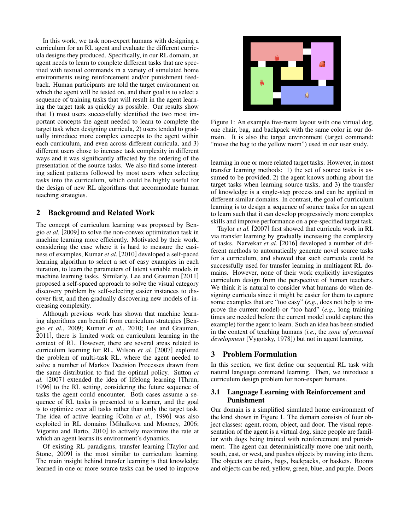In this work, we task non-expert humans with designing a curriculum for an RL agent and evaluate the different curricula designs they produced. Specifically, in our RL domain, an agent needs to learn to complete different tasks that are specified with textual commands in a variety of simulated home environments using reinforcement and/or punishment feedback. Human participants are told the target environment on which the agent will be tested on, and their goal is to select a sequence of training tasks that will result in the agent learning the target task as quickly as possible. Our results show that 1) most users successfully identified the two most important concepts the agent needed to learn to complete the target task when designing curricula, 2) users tended to gradually introduce more complex concepts to the agent within each curriculum, and even across different curricula, and 3) different users chose to increase task complexity in different ways and it was significantly affected by the ordering of the presentation of the source tasks. We also find some interesting salient patterns followed by most users when selecting tasks into the curriculum, which could be highly useful for the design of new RL algorithms that accommodate human teaching strategies.

# 2 Background and Related Work

The concept of curriculum learning was proposed by Bengio *et al.* [2009] to solve the non-convex optimization task in machine learning more efficiently. Motivated by their work, considering the case where it is hard to measure the easiness of examples, Kumar *et al.* [2010] developed a self-paced learning algorithm to select a set of easy examples in each iteration, to learn the parameters of latent variable models in machine learning tasks. Similarly, Lee and Grauman [2011] proposed a self-spaced approach to solve the visual category discovery problem by self-selecting easier instances to discover first, and then gradually discovering new models of increasing complexity.

Although previous work has shown that machine learning algorithms can benefit from curriculum strategies [Bengio *et al.*, 2009; Kumar *et al.*, 2010; Lee and Grauman, 2011], there is limited work on curriculum learning in the context of RL. However, there are several areas related to curriculum learning for RL. Wilson *et al.* [2007] explored the problem of multi-task RL, where the agent needed to solve a number of Markov Decision Processes drawn from the same distribution to find the optimal policy. Sutton *et al.* [2007] extended the idea of lifelong learning [Thrun, 1996] to the RL setting, considering the future sequence of tasks the agent could encounter. Both cases assume a sequence of RL tasks is presented to a learner, and the goal is to optimize over all tasks rather than only the target task. The idea of active learning [Cohn *et al.*, 1996] was also exploited in RL domains [Mihalkova and Mooney, 2006; Vigorito and Barto, 2010] to actively maximize the rate at which an agent learns its environment's dynamics.

Of existing RL paradigms, transfer learning [Taylor and Stone, 2009] is the most similar to curriculum learning. The main insight behind transfer learning is that knowledge learned in one or more source tasks can be used to improve



Figure 1: An example five-room layout with one virtual dog, one chair, bag, and backpack with the same color in our domain. It is also the target environment (target command: "move the bag to the yellow room") used in our user study.

learning in one or more related target tasks. However, in most transfer learning methods: 1) the set of source tasks is assumed to be provided, 2) the agent knows nothing about the target tasks when learning source tasks, and 3) the transfer of knowledge is a single-step process and can be applied in different similar domains. In contrast, the goal of curriculum learning is to design a sequence of source tasks for an agent to learn such that it can develop progressively more complex skills and improve performance on a pre-specified target task.

Taylor *et al.* [2007] first showed that curricula work in RL via transfer learning by gradually increasing the complexity of tasks. Narvekar *et al.* [2016] developed a number of different methods to automatically generate novel source tasks for a curriculum, and showed that such curricula could be successfully used for transfer learning in multiagent RL domains. However, none of their work explicitly investigates curriculum design from the perspective of human teachers. We think it is natural to consider what humans do when designing curricula since it might be easier for them to capture some examples that are "too easy" (*e.g.*, does not help to improve the current model) or "too hard" (*e.g.*, long training times are needed before the current model could capture this example) for the agent to learn. Such an idea has been studied in the context of teaching humans (*i.e.*, the *zone of proximal development* [Vygotsky, 1978]) but not in agent learning.

## 3 Problem Formulation

In this section, we first define our sequential RL task with natural language command learning. Then, we introduce a curriculum design problem for non-expert humans.

#### 3.1 Language Learning with Reinforcement and Punishment

Our domain is a simplified simulated home environment of the kind shown in Figure 1. The domain consists of four object classes: agent, room, object, and door. The visual representation of the agent is a virtual dog, since people are familiar with dogs being trained with reinforcement and punishment. The agent can deterministically move one unit north, south, east, or west, and pushes objects by moving into them. The objects are chairs, bags, backpacks, or baskets. Rooms and objects can be red, yellow, green, blue, and purple. Doors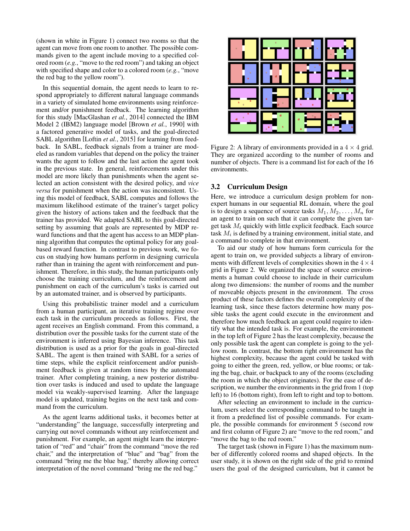(shown in white in Figure 1) connect two rooms so that the agent can move from one room to another. The possible commands given to the agent include moving to a specified colored room (*e.g.*, "move to the red room") and taking an object with specified shape and color to a colored room (*e.g.*, "move the red bag to the yellow room").

In this sequential domain, the agent needs to learn to respond appropriately to different natural language commands in a variety of simulated home environments using reinforcement and/or punishment feedback. The learning algorithm for this study [MacGlashan *et al.*, 2014] connected the IBM Model 2 (IBM2) language model [Brown *et al.*, 1990] with a factored generative model of tasks, and the goal-directed SABL algorithm [Loftin *et al.*, 2015] for learning from feedback. In SABL, feedback signals from a trainer are modeled as random variables that depend on the policy the trainer wants the agent to follow and the last action the agent took in the previous state. In general, reinforcements under this model are more likely than punishments when the agent selected an action consistent with the desired policy, and *vice versa* for punishment when the action was inconsistent. Using this model of feedback, SABL computes and follows the maximum likelihood estimate of the trainer's target policy given the history of actions taken and the feedback that the trainer has provided. We adapted SABL to this goal-directed setting by assuming that goals are represented by MDP reward functions and that the agent has access to an MDP planning algorithm that computes the optimal policy for any goalbased reward function. In contrast to previous work, we focus on studying how humans perform in designing curricula rather than in training the agent with reinforcement and punishment. Therefore, in this study, the human participants only choose the training curriculum, and the reinforcement and punishment on each of the curriculum's tasks is carried out by an automated trainer, and is observed by participants.

Using this probabilistic trainer model and a curriculum from a human participant, an iterative training regime over each task in the curriculum proceeds as follows. First, the agent receives an English command. From this command, a distribution over the possible tasks for the current state of the environment is inferred using Bayesian inference. This task distribution is used as a prior for the goals in goal-directed SABL. The agent is then trained with SABL for a series of time steps, while the explicit reinforcement and/or punishment feedback is given at random times by the automated trainer. After completing training, a new posterior distribution over tasks is induced and used to update the language model via weakly-supervised learning. After the language model is updated, training begins on the next task and command from the curriculum.

As the agent learns additional tasks, it becomes better at "understanding" the language, successfully interpreting and carrying out novel commands without any reinforcement and punishment. For example, an agent might learn the interpretation of "red" and "chair" from the command "move the red chair," and the interpretation of "blue" and "bag" from the command "bring me the blue bag," thereby allowing correct interpretation of the novel command "bring me the red bag."



Figure 2: A library of environments provided in a  $4 \times 4$  grid. They are organized according to the number of rooms and number of objects. There is a command list for each of the 16 environments.

#### 3.2 Curriculum Design

Here, we introduce a curriculum design problem for nonexpert humans in our sequential RL domain, where the goal is to design a sequence of source tasks  $M_1, M_2, \ldots, M_n$  for an agent to train on such that it can complete the given target task  $M_t$  quickly with little explicit feedback. Each source task  $M_i$  is defined by a training environment, initial state, and a command to complete in that environment.

To aid our study of how humans form curricula for the agent to train on, we provided subjects a library of environments with different levels of complexities shown in the  $4 \times 4$ grid in Figure 2. We organized the space of source environments a human could choose to include in their curriculum along two dimensions: the number of rooms and the number of moveable objects present in the environment. The cross product of these factors defines the overall complexity of the learning task, since these factors determine how many possible tasks the agent could execute in the environment and therefore how much feedback an agent could require to identify what the intended task is. For example, the environment in the top left of Figure 2 has the least complexity, because the only possible task the agent can complete is going to the yellow room. In contrast, the bottom right environment has the highest complexity, because the agent could be tasked with going to either the green, red, yellow, or blue rooms; or taking the bag, chair, or backpack to any of the rooms (excluding the room in which the object originates). For the ease of description, we number the environments in the grid from 1 (top left) to 16 (bottom right), from left to right and top to bottom.

After selecting an environment to include in the curriculum, users select the corresponding command to be taught in it from a predefined list of possible commands. For example, the possible commands for environment 5 (second row and first column of Figure 2) are "move to the red room," and "move the bag to the red room."

The target task (shown in Figure 1) has the maximum number of differently colored rooms and shaped objects. In the user study, it is shown on the right side of the grid to remind users the goal of the designed curriculum, but it cannot be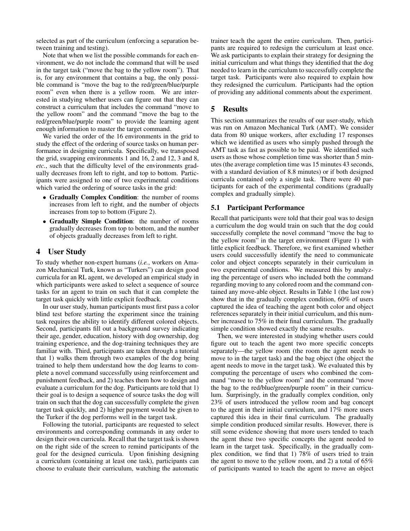selected as part of the curriculum (enforcing a separation between training and testing).

Note that when we list the possible commands for each environment, we do not include the command that will be used in the target task ("move the bag to the yellow room"). That is, for any environment that contains a bag, the only possible command is "move the bag to the red/green/blue/purple room" even when there is a yellow room. We are interested in studying whether users can figure out that they can construct a curriculum that includes the command "move to the yellow room" and the command "move the bag to the red/green/blue/purple room" to provide the learning agent enough information to master the target command.

We varied the order of the 16 environments in the grid to study the effect of the ordering of source tasks on human performance in designing curricula. Specifically, we transposed the grid, swapping environments 1 and 16, 2 and 12, 3 and 8, *etc.*, such that the difficulty level of the environments gradually decreases from left to right, and top to bottom. Participants were assigned to one of two experimental conditions which varied the ordering of source tasks in the grid:

- Gradually Complex Condition: the number of rooms increases from left to right, and the number of objects increases from top to bottom (Figure 2).
- Gradually Simple Condition: the number of rooms gradually decreases from top to bottom, and the number of objects gradually decreases from left to right.

#### 4 User Study

To study whether non-expert humans (*i.e.*, workers on Amazon Mechanical Turk, known as "Turkers") can design good curricula for an RL agent, we developed an empirical study in which participants were asked to select a sequence of source tasks for an agent to train on such that it can complete the target task quickly with little explicit feedback.

In our user study, human participants must first pass a color blind test before starting the experiment since the training task requires the ability to identify different colored objects. Second, participants fill out a background survey indicating their age, gender, education, history with dog ownership, dog training experience, and the dog-training techniques they are familiar with. Third, participants are taken through a tutorial that 1) walks them through two examples of the dog being trained to help them understand how the dog learns to complete a novel command successfully using reinforcement and punishment feedback, and 2) teaches them how to design and evaluate a curriculum for the dog. Participants are told that 1) their goal is to design a sequence of source tasks the dog will train on such that the dog can successfully complete the given target task quickly, and 2) higher payment would be given to the Turker if the dog performs well in the target task.

Following the tutorial, participants are requested to select environments and corresponding commands in any order to design their own curricula. Recall that the target task is shown on the right side of the screen to remind participants of the goal for the designed curricula. Upon finishing designing a curriculum (containing at least one task), participants can choose to evaluate their curriculum, watching the automatic

trainer teach the agent the entire curriculum. Then, participants are required to redesign the curriculum at least once. We ask participants to explain their strategy for designing the initial curriculum and what things they identified that the dog needed to learn in the curriculum to successfully complete the target task. Participants were also required to explain how they redesigned the curriculum. Participants had the option of providing any additional comments about the experiment.

# 5 Results

This section summarizes the results of our user-study, which was run on Amazon Mechanical Turk (AMT). We consider data from 80 unique workers, after excluding 17 responses which we identified as users who simply pushed through the AMT task as fast as possible to be paid. We identified such users as those whose completion time was shorter than 5 minutes (the average completion time was 15 minutes 43 seconds, with a standard deviation of 8.8 minutes) or if both designed curricula contained only a single task. There were 40 participants for each of the experimental conditions (gradually complex and gradually simple).

#### 5.1 Participant Performance

Recall that participants were told that their goal was to design a curriculum the dog would train on such that the dog could successfully complete the novel command "move the bag to the yellow room" in the target environment (Figure 1) with little explicit feedback. Therefore, we first examined whether users could successfully identify the need to communicate color and object concepts separately in their curriculum in two experimental conditions. We measured this by analyzing the percentage of users who included both the command regarding moving to any colored room and the command contained any move-able object. Results in Table 1 (the last row) show that in the gradually complex condition, 60% of users captured the idea of teaching the agent both color and object references separately in their initial curriculum, and this number increased to 75% in their final curriculum. The gradually simple condition showed exactly the same results.

Then, we were interested in studying whether users could figure out to teach the agent two more specific concepts separately—the yellow room (the room the agent needs to move to in the target task) and the bag object (the object the agent needs to move in the target task). We evaluated this by computing the percentage of users who combined the command "move to the yellow room" and the command "move the bag to the red/blue/green/purple room" in their curriculum. Surprisingly, in the gradually complex condition, only 23% of users introduced the yellow room and bag concept to the agent in their initial curriculum, and 17% more users captured this idea in their final curriculum. The gradually simple condition produced similar results. However, there is still some evidence showing that more users tended to teach the agent these two specific concepts the agent needed to learn in the target task. Specifically, in the gradually complex condition, we find that 1) 78% of users tried to train the agent to move to the yellow room, and 2) a total of 65% of participants wanted to teach the agent to move an object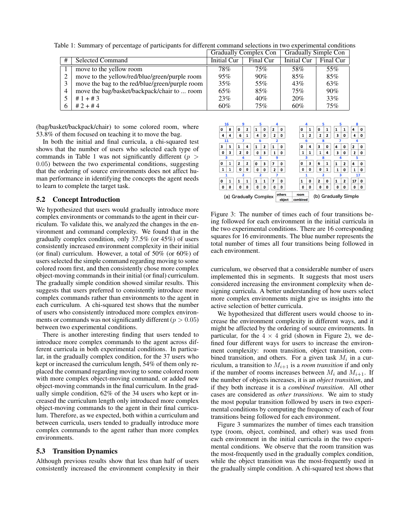|   |                                                | <b>OLAGUALLY COMPLEA COLL</b> |           | OT QUALLY SHILL UP COLL |           |
|---|------------------------------------------------|-------------------------------|-----------|-------------------------|-----------|
| # | <b>Selected Command</b>                        | <b>Initial Cur</b>            | Final Cur | <b>Initial Cur</b>      | Final Cur |
|   | move to the yellow room                        | 78%                           | 75%       | 58%                     | 55%       |
|   | move to the yellow/red/blue/green/purple room  | 95%                           | 90%       | 85%                     | 85%       |
|   | move the bag to the red/blue/green/purple room | 35%                           | 55%       | 43%                     | 63%       |
| 4 | move the bag/basket/backpack/chair to  room    | 65%                           | 85%       | 75%                     | 90%       |
|   | $#1 + #3$                                      | 23%                           | 40%       | 20%                     | 33%       |
|   | $#2 + #4$                                      | 60%                           | 75%       | 60%                     | 75%       |

Table 1: Summary of percentage of participants for different command selections in two experimental conditions Gradually Complex Con Gradually Simple Con

(bag/basket/backpack/chair) to some colored room, where 53.8% of them focused on teaching it to move the bag.

In both the initial and final curricula, a chi-squared test shows that the number of users who selected each type of commands in Table 1 was not significantly different ( $p >$ 0.05) between the two experimental conditions, suggesting that the ordering of source environments does not affect human performance in identifying the concepts the agent needs to learn to complete the target task.

#### 5.2 Concept Introduction

We hypothesized that users would gradually introduce more complex environments or commands to the agent in their curriculum. To validate this, we analyzed the changes in the environment and command complexity. We found that in the gradually complex condition, only 37.5% (or 45%) of users consistently increased environment complexity in their initial (or final) curriculum. However, a total of 50% (or 60%) of users selected the simple command regarding moving to some colored room first, and then consistently chose more complex object-moving commands in their initial (or final) curriculum. The gradually simple condition showed similar results. This suggests that users preferred to consistently introduce more complex commands rather than environments to the agent in each curriculum. A chi-squared test shows that the number of users who consistently introduced more complex environments or commands was not significantly different ( $p > 0.05$ ) between two experimental conditions.

There is another interesting finding that users tended to introduce more complex commands to the agent across different curricula in both experimental conditions. In particular, in the gradually complex condition, for the 37 users who kept or increased the curriculum length, 54% of them only replaced the command regarding moving to some colored room with more complex object-moving command, or added new object-moving commands in the final curriculum. In the gradually simple condition, 62% of the 34 users who kept or increased the curriculum length only introduced more complex object-moving commands to the agent in their final curriculum. Therefore, as we expected, both within a curriculum and between curricula, users tended to gradually introduce more complex commands to the agent rather than more complex environments.

#### 5.3 Transition Dynamics

Although previous results show that less than half of users consistently increased the environment complexity in their



Figure 3: The number of times each of four transitions being followed for each environment in the initial curricula in the two experimental conditions. There are 16 corresponding squares for 16 environments. The blue number represents the total number of times all four transitions being followed in each environment.

curriculum, we observed that a considerable number of users implemented this in segments. It suggests that most users considered increasing the environment complexity when designing curricula. A better understanding of how users select more complex environments might give us insights into the active selection of better curricula.

We hypothesized that different users would choose to increase the environment complexity in different ways, and it might be affected by the ordering of source environments. In particular, for the  $4 \times 4$  grid (shown in Figure 2), we defined four different ways for users to increase the environment complexity: room transition, object transition, combined transition, and others. For a given task  $M_i$  in a curriculum, a transition to  $M_{i+1}$  is a *room transition* if and only if the number of rooms increases between  $M_i$  and  $M_{i+1}$ . If the number of objects increases, it is an *object transition*, and if they both increase it is a *combined transition*. All other cases are considered as *other transitions*. We aim to study the most popular transition followed by users in two experimental conditions by computing the frequency of each of four transitions being followed for each environment.

Figure 3 summarizes the number of times each transition type (room, object, combined, and other) was used from each environment in the initial curricula in the two experimental conditions. We observe that the room transition was the most-frequently used in the gradually complex condition, while the object transition was the most-frequently used in the gradually simple condition. A chi-squared test shows that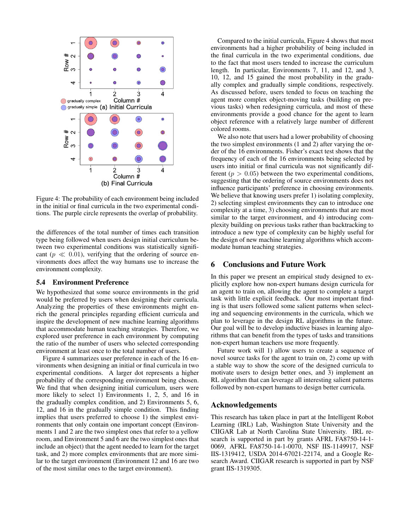

Figure 4: The probability of each environment being included in the initial or final curricula in the two experimental conditions. The purple circle represents the overlap of probability.

the differences of the total number of times each transition type being followed when users design initial curriculum between two experimental conditions was statistically significant ( $p \ll 0.01$ ), verifying that the ordering of source environments does affect the way humans use to increase the environment complexity.

#### 5.4 Environment Preference

We hypothesized that some source environments in the grid would be preferred by users when designing their curricula. Analyzing the properties of these environments might enrich the general principles regarding efficient curricula and inspire the development of new machine learning algorithms that accommodate human teaching strategies. Therefore, we explored user preference in each environment by computing the ratio of the number of users who selected corresponding environment at least once to the total number of users.

Figure 4 summarizes user preference in each of the 16 environments when designing an initial or final curricula in two experimental conditions. A larger dot represents a higher probability of the corresponding environment being chosen. We find that when designing initial curriculum, users were more likely to select 1) Environments 1, 2, 5, and 16 in the gradually complex condition, and 2) Environments 5, 6, 12, and 16 in the gradually simple condition. This finding implies that users preferred to choose 1) the simplest environments that only contain one important concept (Environments 1 and 2 are the two simplest ones that refer to a yellow room, and Environment 5 and 6 are the two simplest ones that include an object) that the agent needed to learn for the target task, and 2) more complex environments that are more similar to the target environment (Environment 12 and 16 are two of the most similar ones to the target environment).

Compared to the initial curricula, Figure 4 shows that most environments had a higher probability of being included in the final curricula in the two experimental conditions, due to the fact that most users tended to increase the curriculum length. In particular, Environments 7, 11, and 12, and 3, 10, 12, and 15 gained the most probability in the gradually complex and gradually simple conditions, respectively. As discussed before, users tended to focus on teaching the agent more complex object-moving tasks (building on previous tasks) when redesigning curricula, and most of these environments provide a good chance for the agent to learn object reference with a relatively large number of different colored rooms.

We also note that users had a lower probability of choosing the two simplest environments (1 and 2) after varying the order of the 16 environments. Fisher's exact test shows that the frequency of each of the 16 environments being selected by users into initial or final curricula was not significantly different ( $p > 0.05$ ) between the two experimental conditions, suggesting that the ordering of source environments does not influence participants' preference in choosing environments. We believe that knowing users prefer 1) isolating complexity, 2) selecting simplest environments they can to introduce one complexity at a time, 3) choosing environments that are most similar to the target environment, and 4) introducing complexity building on previous tasks rather than backtracking to introduce a new type of complexity can be highly useful for the design of new machine learning algorithms which accommodate human teaching strategies.

# 6 Conclusions and Future Work

In this paper we present an empirical study designed to explicitly explore how non-expert humans design curricula for an agent to train on, allowing the agent to complete a target task with little explicit feedback. Our most important finding is that users followed some salient patterns when selecting and sequencing environments in the curricula, which we plan to leverage in the design RL algorithms in the future. Our goal will be to develop inductive biases in learning algorithms that can benefit from the types of tasks and transitions non-expert human teachers use more frequently.

Future work will 1) allow users to create a sequence of novel source tasks for the agent to train on, 2) come up with a stable way to show the score of the designed curricula to motivate users to design better ones, and 3) implement an RL algorithm that can leverage all interesting salient patterns followed by non-expert humans to design better curricula.

## Acknowledgements

This research has taken place in part at the Intelligent Robot Learning (IRL) Lab, Washington State University and the CIIGAR Lab at North Carolina State University. IRL research is supported in part by grants AFRL FA8750-14-1- 0069, AFRL FA8750-14-1-0070, NSF IIS-1149917, NSF IIS-1319412, USDA 2014-67021-22174, and a Google Research Award. CIIGAR research is supported in part by NSF grant IIS-1319305.